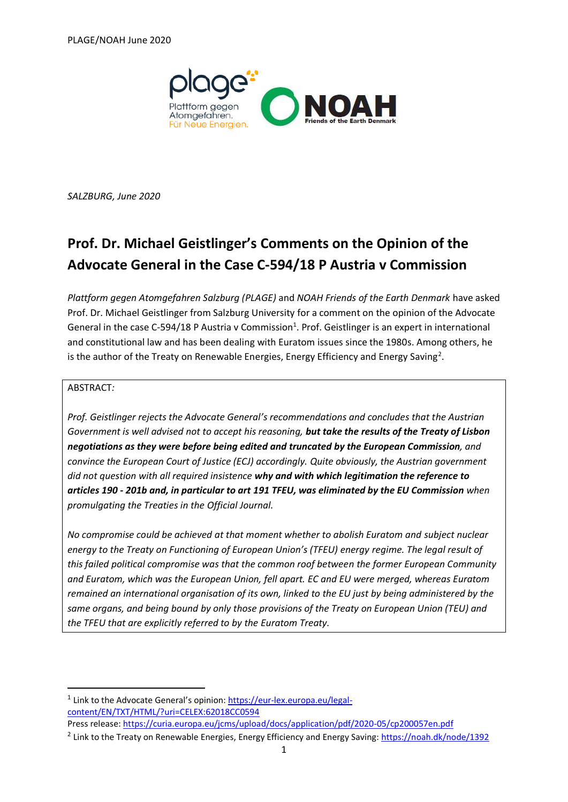

*SALZBURG, June 2020*

# **Prof. Dr. Michael Geistlinger's Comments on the Opinion of the Advocate General in the Case C-594/18 P Austria v Commission**

*Plattform gegen Atomgefahren Salzburg (PLAGE)* and *NOAH Friends of the Earth Denmark* have asked Prof. Dr. Michael Geistlinger from Salzburg University for a comment on the opinion of the Advocate General in the case C-594/18 P Austria v Commission<sup>1</sup>. Prof. Geistlinger is an expert in international and constitutional law and has been dealing with Euratom issues since the 1980s. Among others, he is the author of the Treaty on Renewable Energies, Energy Efficiency and Energy Saving<sup>2</sup>.

### ABSTRACT*:*

*Prof. Geistlinger rejects the Advocate General's recommendations and concludes that the Austrian Government is well advised not to accept his reasoning, but take the results of the Treaty of Lisbon negotiations as they were before being edited and truncated by the European Commission, and convince the European Court of Justice (ECJ) accordingly. Quite obviously, the Austrian government did not question with all required insistence why and with which legitimation the reference to articles 190 - 201b and, in particular to art 191 TFEU, was eliminated by the EU Commission when promulgating the Treaties in the Official Journal.*

*No compromise could be achieved at that moment whether to abolish Euratom and subject nuclear energy to the Treaty on Functioning of European Union's (TFEU) energy regime. The legal result of this failed political compromise was that the common roof between the former European Community and Euratom, which was the European Union, fell apart. EC and EU were merged, whereas Euratom remained an international organisation of its own, linked to the EU just by being administered by the same organs, and being bound by only those provisions of the Treaty on European Union (TEU) and the TFEU that are explicitly referred to by the Euratom Treaty.* 

Press release:<https://curia.europa.eu/jcms/upload/docs/application/pdf/2020-05/cp200057en.pdf>

<sup>&</sup>lt;sup>1</sup> Link to the Advocate General's opinion: [https://eur-lex.europa.eu/legal](https://eur-lex.europa.eu/legal-content/EN/TXT/HTML/?uri=CELEX:62018CC0594)[content/EN/TXT/HTML/?uri=CELEX:62018CC0594](https://eur-lex.europa.eu/legal-content/EN/TXT/HTML/?uri=CELEX:62018CC0594)

<sup>&</sup>lt;sup>2</sup> Link to the Treaty on Renewable Energies, Energy Efficiency and Energy Saving[: https://noah.dk/node/1392](https://noah.dk/node/1392)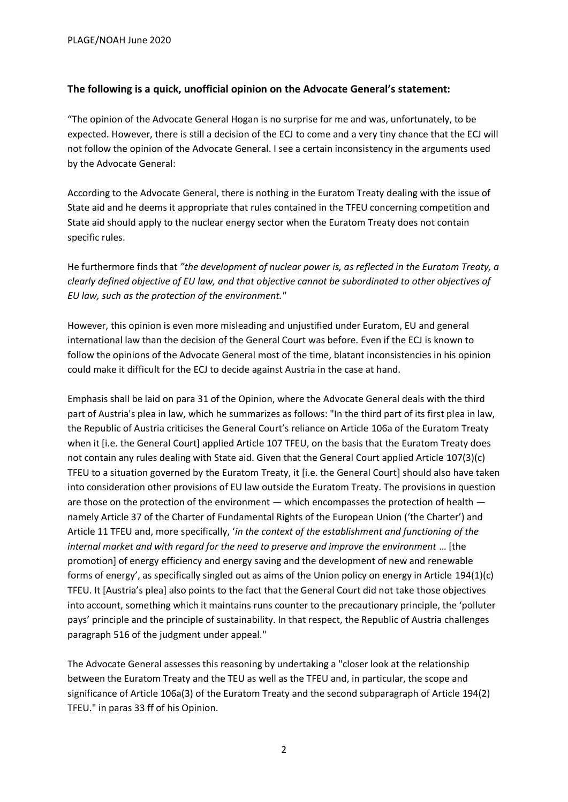## **The following is a quick, unofficial opinion on the Advocate General's statement:**

"The opinion of the Advocate General Hogan is no surprise for me and was, unfortunately, to be expected. However, there is still a decision of the ECJ to come and a very tiny chance that the ECJ will not follow the opinion of the Advocate General. I see a certain inconsistency in the arguments used by the Advocate General:

According to the Advocate General, there is nothing in the Euratom Treaty dealing with the issue of State aid and he deems it appropriate that rules contained in the TFEU concerning competition and State aid should apply to the nuclear energy sector when the Euratom Treaty does not contain specific rules.

He furthermore finds that *"the development of nuclear power is, as reflected in the Euratom Treaty, a clearly defined objective of EU law, and that objective cannot be subordinated to other objectives of EU law, such as the protection of the environment."*

However, this opinion is even more misleading and unjustified under Euratom, EU and general international law than the decision of the General Court was before. Even if the ECJ is known to follow the opinions of the Advocate General most of the time, blatant inconsistencies in his opinion could make it difficult for the ECJ to decide against Austria in the case at hand.

Emphasis shall be laid on para 31 of the Opinion, where the Advocate General deals with the third part of Austria's plea in law, which he summarizes as follows: "In the third part of its first plea in law, the Republic of Austria criticises the General Court's reliance on Article 106a of the Euratom Treaty when it [i.e. the General Court] applied Article 107 TFEU, on the basis that the Euratom Treaty does not contain any rules dealing with State aid. Given that the General Court applied Article 107(3)(c) TFEU to a situation governed by the Euratom Treaty, it [i.e. the General Court] should also have taken into consideration other provisions of EU law outside the Euratom Treaty. The provisions in question are those on the protection of the environment — which encompasses the protection of health namely Article 37 of the Charter of Fundamental Rights of the European Union ('the Charter') and Article 11 TFEU and, more specifically, '*in the context of the establishment and functioning of the internal market and with regard for the need to preserve and improve the environment* … [the promotion] of energy efficiency and energy saving and the development of new and renewable forms of energy', as specifically singled out as aims of the Union policy on energy in Article 194(1)(c) TFEU. It [Austria's plea] also points to the fact that the General Court did not take those objectives into account, something which it maintains runs counter to the precautionary principle, the 'polluter pays' principle and the principle of sustainability. In that respect, the Republic of Austria challenges paragraph 516 of the judgment under appeal."

The Advocate General assesses this reasoning by undertaking a "closer look at the relationship between the Euratom Treaty and the TEU as well as the TFEU and, in particular, the scope and significance of Article 106a(3) of the Euratom Treaty and the second subparagraph of Article 194(2) TFEU." in paras 33 ff of his Opinion.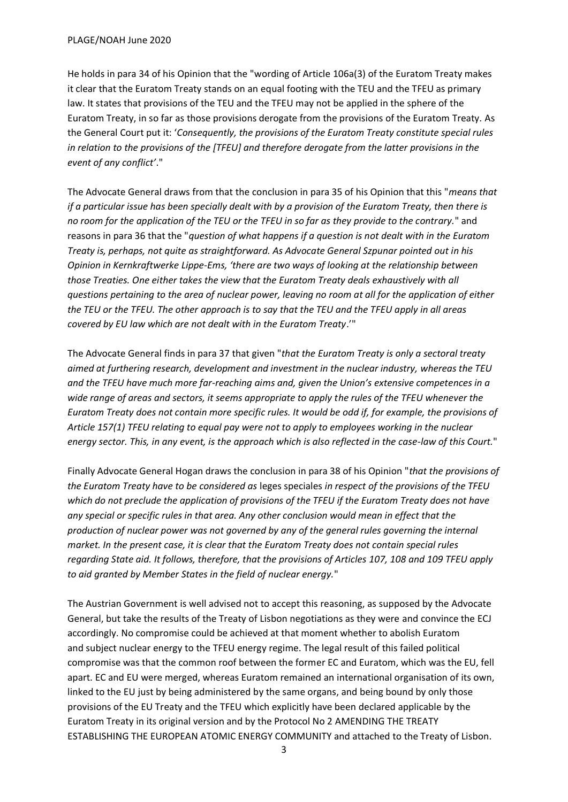He holds in para 34 of his Opinion that the "wording of Article 106a(3) of the Euratom Treaty makes it clear that the Euratom Treaty stands on an equal footing with the TEU and the TFEU as primary law. It states that provisions of the TEU and the TFEU may not be applied in the sphere of the Euratom Treaty, in so far as those provisions derogate from the provisions of the Euratom Treaty. As the General Court put it: '*Consequently, the provisions of the Euratom Treaty constitute special rules in relation to the provisions of the [TFEU] and therefore derogate from the latter provisions in the event of any conflict'*."

The Advocate General draws from that the conclusion in para 35 of his Opinion that this "*means that if a particular issue has been specially dealt with by a provision of the Euratom Treaty, then there is no room for the application of the TEU or the TFEU in so far as they provide to the contrary.*" and reasons in para 36 that the "*question of what happens if a question is not dealt with in the Euratom Treaty is, perhaps, not quite as straightforward. As Advocate General Szpunar pointed out in his Opinion in Kernkraftwerke Lippe-Ems, 'there are two ways of looking at the relationship between those Treaties. One either takes the view that the Euratom Treaty deals exhaustively with all questions pertaining to the area of nuclear power, leaving no room at all for the application of either the TEU or the TFEU. The other approach is to say that the TEU and the TFEU apply in all areas covered by EU law which are not dealt with in the Euratom Treaty*.'"

The Advocate General finds in para 37 that given "*that the Euratom Treaty is only a sectoral treaty aimed at furthering research, development and investment in the nuclear industry, whereas the TEU and the TFEU have much more far-reaching aims and, given the Union's extensive competences in a wide range of areas and sectors, it seems appropriate to apply the rules of the TFEU whenever the Euratom Treaty does not contain more specific rules. It would be odd if, for example, the provisions of Article 157(1) TFEU relating to equal pay were not to apply to employees working in the nuclear energy sector. This, in any event, is the approach which is also reflected in the case-law of this Court.*"

Finally Advocate General Hogan draws the conclusion in para 38 of his Opinion "*that the provisions of the Euratom Treaty have to be considered as* leges speciales *in respect of the provisions of the TFEU which do not preclude the application of provisions of the TFEU if the Euratom Treaty does not have any special or specific rules in that area. Any other conclusion would mean in effect that the production of nuclear power was not governed by any of the general rules governing the internal market. In the present case, it is clear that the Euratom Treaty does not contain special rules regarding State aid. It follows, therefore, that the provisions of Articles 107, 108 and 109 TFEU apply to aid granted by Member States in the field of nuclear energy.*"

The Austrian Government is well advised not to accept this reasoning, as supposed by the Advocate General, but take the results of the Treaty of Lisbon negotiations as they were and convince the ECJ accordingly. No compromise could be achieved at that moment whether to abolish Euratom and subject nuclear energy to the TFEU energy regime. The legal result of this failed political compromise was that the common roof between the former EC and Euratom, which was the EU, fell apart. EC and EU were merged, whereas Euratom remained an international organisation of its own, linked to the EU just by being administered by the same organs, and being bound by only those provisions of the EU Treaty and the TFEU which explicitly have been declared applicable by the Euratom Treaty in its original version and by the Protocol No 2 AMENDING THE TREATY ESTABLISHING THE EUROPEAN ATOMIC ENERGY COMMUNITY and attached to the Treaty of Lisbon.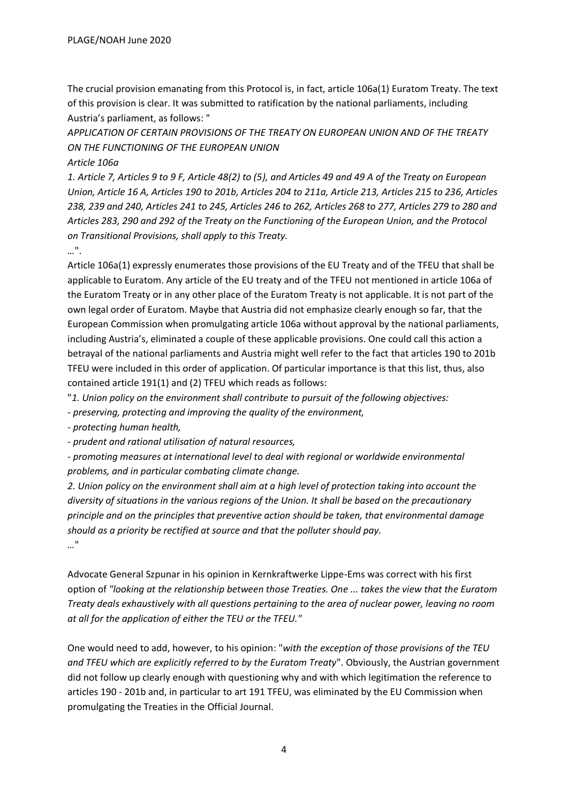The crucial provision emanating from this Protocol is, in fact, article 106a(1) Euratom Treaty. The text of this provision is clear. It was submitted to ratification by the national parliaments, including Austria's parliament, as follows: "

*APPLICATION OF CERTAIN PROVISIONS OF THE TREATY ON EUROPEAN UNION AND OF THE TREATY ON THE FUNCTIONING OF THE EUROPEAN UNION* 

*Article 106a* 

*1. Article 7, Articles 9 to 9 F, Article 48(2) to (5), and Articles 49 and 49 A of the Treaty on European Union, Article 16 A, Articles 190 to 201b, Articles 204 to 211a, Article 213, Articles 215 to 236, Articles 238, 239 and 240, Articles 241 to 245, Articles 246 to 262, Articles 268 to 277, Articles 279 to 280 and Articles 283, 290 and 292 of the Treaty on the Functioning of the European Union, and the Protocol on Transitional Provisions, shall apply to this Treaty.* 

### *…*".

Article 106a(1) expressly enumerates those provisions of the EU Treaty and of the TFEU that shall be applicable to Euratom. Any article of the EU treaty and of the TFEU not mentioned in article 106a of the Euratom Treaty or in any other place of the Euratom Treaty is not applicable. It is not part of the own legal order of Euratom. Maybe that Austria did not emphasize clearly enough so far, that the European Commission when promulgating article 106a without approval by the national parliaments, including Austria's, eliminated a couple of these applicable provisions. One could call this action a betrayal of the national parliaments and Austria might well refer to the fact that articles 190 to 201b TFEU were included in this order of application. Of particular importance is that this list, thus, also contained article 191(1) and (2) TFEU which reads as follows:

"*1. Union policy on the environment shall contribute to pursuit of the following objectives:* 

*- preserving, protecting and improving the quality of the environment,* 

*- protecting human health,* 

*- prudent and rational utilisation of natural resources,* 

*- promoting measures at international level to deal with regional or worldwide environmental problems, and in particular combating climate change.* 

*2. Union policy on the environment shall aim at a high level of protection taking into account the diversity of situations in the various regions of the Union. It shall be based on the precautionary principle and on the principles that preventive action should be taken, that environmental damage should as a priority be rectified at source and that the polluter should pay. …*"

Advocate General Szpunar in his opinion in Kernkraftwerke Lippe-Ems was correct with his first option of *"looking at the relationship between those Treaties. One ... takes the view that the Euratom Treaty deals exhaustively with all questions pertaining to the area of nuclear power, leaving no room at all for the application of either the TEU or the TFEU."*

One would need to add, however, to his opinion: "*with the exception of those provisions of the TEU and TFEU which are explicitly referred to by the Euratom Treaty*". Obviously, the Austrian government did not follow up clearly enough with questioning why and with which legitimation the reference to articles 190 - 201b and, in particular to art 191 TFEU, was eliminated by the EU Commission when promulgating the Treaties in the Official Journal.